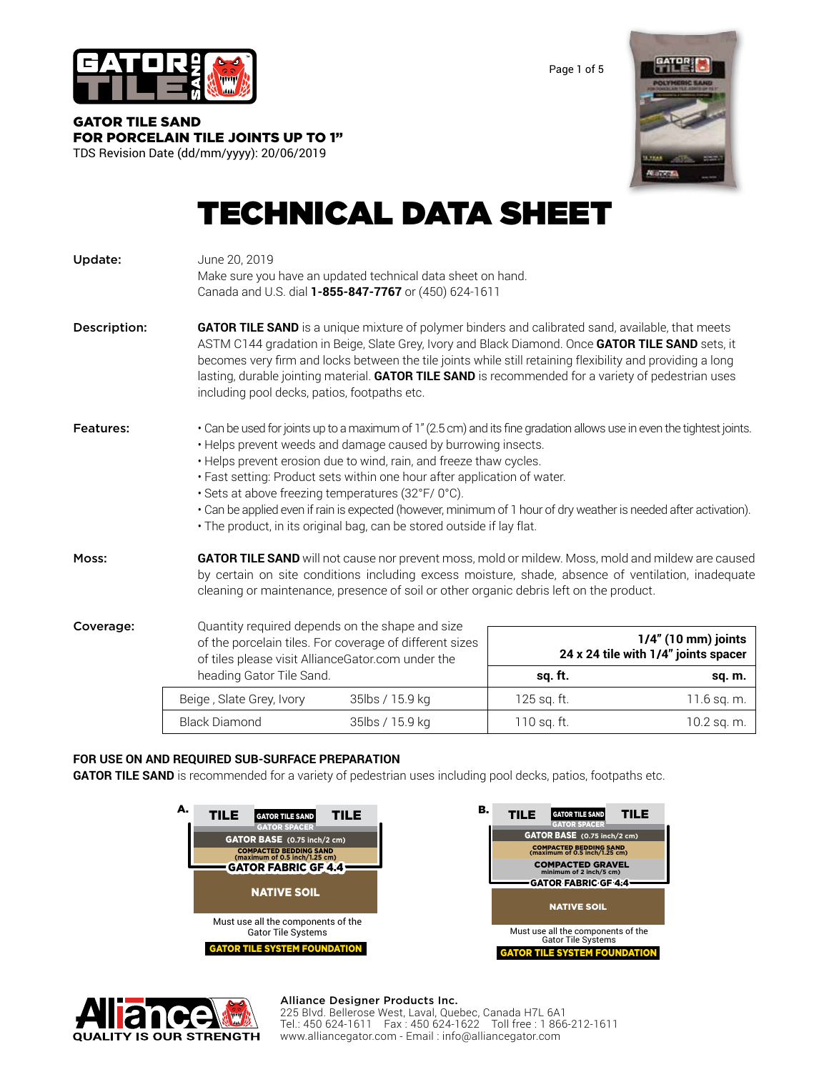

Page 1 of 5

GATOR TILE SAND FOR PORCELAIN TILE JOINTS UP TO 1" TDS Revision Date (dd/mm/yyyy): 20/06/2019



# TECHNICAL DATA SHEET

| Update:      | June 20, 2019<br>Make sure you have an updated technical data sheet on hand.<br>Canada and U.S. dial 1-855-847-7767 or (450) 624-1611                                                                                                                                                                                                                                                                                                                                                                                                                                                         |                 |                                                             |               |  |  |  |
|--------------|-----------------------------------------------------------------------------------------------------------------------------------------------------------------------------------------------------------------------------------------------------------------------------------------------------------------------------------------------------------------------------------------------------------------------------------------------------------------------------------------------------------------------------------------------------------------------------------------------|-----------------|-------------------------------------------------------------|---------------|--|--|--|
| Description: | <b>GATOR TILE SAND</b> is a unique mixture of polymer binders and calibrated sand, available, that meets<br>ASTM C144 gradation in Beige, Slate Grey, Ivory and Black Diamond. Once GATOR TILE SAND sets, it<br>becomes very firm and locks between the tile joints while still retaining flexibility and providing a long<br>lasting, durable jointing material. GATOR TILE SAND is recommended for a variety of pedestrian uses<br>including pool decks, patios, footpaths etc.                                                                                                             |                 |                                                             |               |  |  |  |
| Features:    | • Can be used for joints up to a maximum of 1" (2.5 cm) and its fine gradation allows use in even the tightest joints.<br>• Helps prevent weeds and damage caused by burrowing insects.<br>• Helps prevent erosion due to wind, rain, and freeze thaw cycles.<br>· Fast setting: Product sets within one hour after application of water.<br>· Sets at above freezing temperatures (32°F/0°C).<br>• Can be applied even if rain is expected (however, minimum of 1 hour of dry weather is needed after activation).<br>· The product, in its original bag, can be stored outside if lay flat. |                 |                                                             |               |  |  |  |
| Moss:        | GATOR TILE SAND will not cause nor prevent moss, mold or mildew. Moss, mold and mildew are caused<br>by certain on site conditions including excess moisture, shade, absence of ventilation, inadequate<br>cleaning or maintenance, presence of soil or other organic debris left on the product.                                                                                                                                                                                                                                                                                             |                 |                                                             |               |  |  |  |
| Coverage:    | Quantity required depends on the shape and size<br>of the porcelain tiles. For coverage of different sizes<br>of tiles please visit AllianceGator.com under the<br>heading Gator Tile Sand.                                                                                                                                                                                                                                                                                                                                                                                                   |                 | 1/4" (10 mm) joints<br>24 x 24 tile with 1/4" joints spacer |               |  |  |  |
|              |                                                                                                                                                                                                                                                                                                                                                                                                                                                                                                                                                                                               |                 | sq. ft.                                                     | sq. m.        |  |  |  |
|              | Beige, Slate Grey, Ivory                                                                                                                                                                                                                                                                                                                                                                                                                                                                                                                                                                      | 35lbs / 15.9 kg | 125 sq. ft.                                                 | $11.6$ sq. m. |  |  |  |
|              | <b>Black Diamond</b>                                                                                                                                                                                                                                                                                                                                                                                                                                                                                                                                                                          | 35lbs / 15.9 kg | 110 sq. ft.                                                 | 10.2 sq. m.   |  |  |  |

# **FOR USE ON AND REQUIRED SUB-SURFACE PREPARATION**

**GATOR TILE SAND** is recommended for a variety of pedestrian uses including pool decks, patios, footpaths etc.

| А.<br><b>TILE</b><br>TILE<br><b>GATOR TILE SAND</b><br><b>GATOR SPACER</b>                                                         | в.<br><b>TILE</b><br><b>TILE</b><br><b>GATOR TILE SAND</b><br><b>GATOR SPACER</b>                                                                                                 |
|------------------------------------------------------------------------------------------------------------------------------------|-----------------------------------------------------------------------------------------------------------------------------------------------------------------------------------|
| <b>GATOR BASE</b> (0.75 inch/2 cm)<br><b>COMPACTED BEDDING SAND</b><br>(maximum of 0.5 inch/1.25 cm)<br><b>GATOR FABRIC GF 4.4</b> | GATOR BASE (0.75 inch/2 cm)<br><b>COMPACTED BEDDING SAND</b><br>(maximum of 0.5 inch/1.25 cm)<br><b>COMPACTED GRAVEL</b><br>minimum of 2 inch/5 cm)<br><b>GATOR FABRIC GF 4:4</b> |
| <b>NATIVE SOIL</b>                                                                                                                 | <b>NATIVE SOIL</b>                                                                                                                                                                |
| Must use all the components of the<br><b>Gator Tile Systems</b>                                                                    | Must use all the components of the<br><b>Gator Tile Systems</b>                                                                                                                   |
| <b>GATOR TILE SYSTEM FOUNDATION</b>                                                                                                | <b>GATOR TILE SYSTEM FOUNDATION</b>                                                                                                                                               |



### Alliance Designer Products Inc.

225 Blvd. Bellerose West, Laval, Quebec, Canada H7L 6A1 Tel.: 450 624-1611 Fax : 450 624-1622 Toll free : 1 866-212-1611 www.alliancegator.com - Email : info@alliancegator.com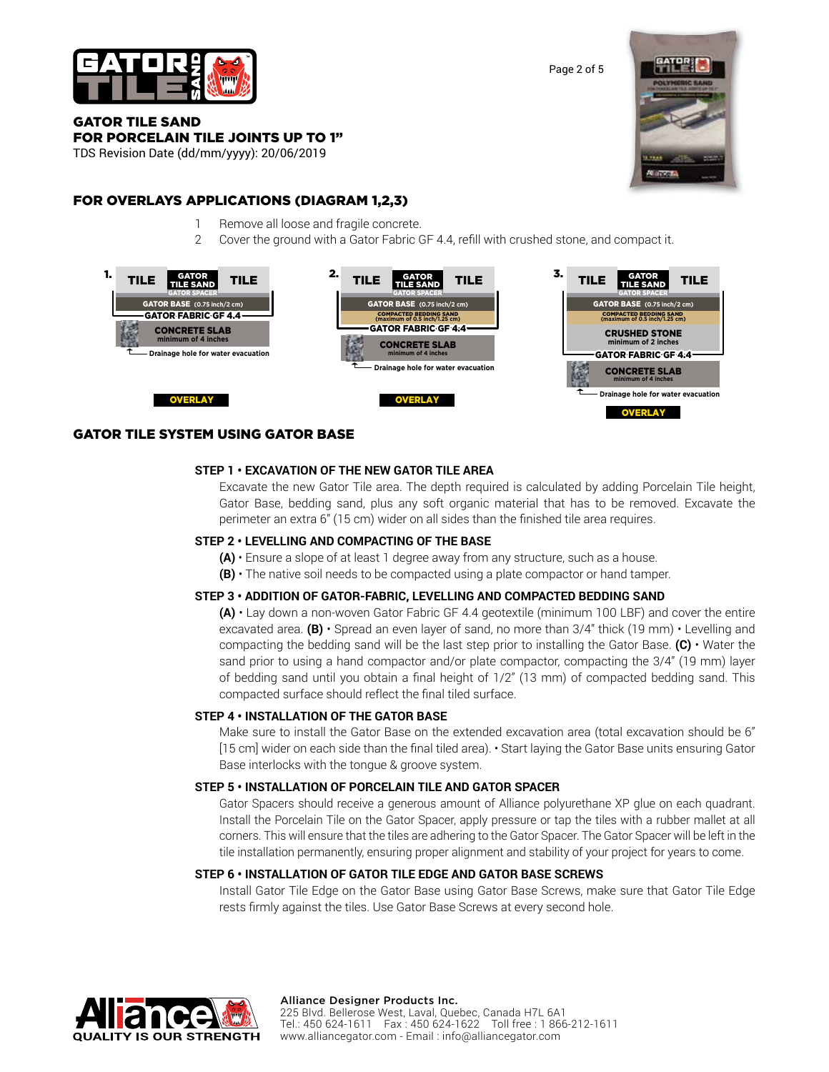

Page 2 of 5

## GATOR TILE SAND FOR PORCELAIN TILE JOINTS UP TO 1"

TDS Revision Date (dd/mm/yyyy): 20/06/2019

# FOR OVERLAYS APPLICATIONS (DIAGRAM 1,2,3)

- 1 Remove all loose and fragile concrete.
- 2 Cover the ground with a Gator Fabric GF 4.4, refill with crushed stone, and compact it.



# GATOR TILE SYSTEM USING GATOR BASE

## **STEP 1 • EXCAVATION OF THE NEW GATOR TILE AREA**

Excavate the new Gator Tile area. The depth required is calculated by adding Porcelain Tile height, Gator Base, bedding sand, plus any soft organic material that has to be removed. Excavate the perimeter an extra 6" (15 cm) wider on all sides than the finished tile area requires.

## **STEP 2 • LEVELLING AND COMPACTING OF THE BASE**

- **(A)** Ensure a slope of at least 1 degree away from any structure, such as a house.
- **(B)**  The native soil needs to be compacted using a plate compactor or hand tamper.

## **STEP 3 • ADDITION OF GATOR-FABRIC, LEVELLING AND COMPACTED BEDDING SAND**

**(A)** • Lay down a non-woven Gator Fabric GF 4.4 geotextile (minimum 100 LBF) and cover the entire excavated area. **(B)** • Spread an even layer of sand, no more than 3/4" thick (19 mm) • Levelling and compacting the bedding sand will be the last step prior to installing the Gator Base. **(C)** • Water the sand prior to using a hand compactor and/or plate compactor, compacting the 3/4" (19 mm) layer of bedding sand until you obtain a final height of 1/2" (13 mm) of compacted bedding sand. This compacted surface should reflect the final tiled surface.

## **STEP 4 • INSTALLATION OF THE GATOR BASE**

Make sure to install the Gator Base on the extended excavation area (total excavation should be 6" [15 cm] wider on each side than the final tiled area). • Start laying the Gator Base units ensuring Gator Base interlocks with the tongue & groove system.

### **STEP 5 • INSTALLATION OF PORCELAIN TILE AND GATOR SPACER**

Gator Spacers should receive a generous amount of Alliance polyurethane XP glue on each quadrant. Install the Porcelain Tile on the Gator Spacer, apply pressure or tap the tiles with a rubber mallet at all corners. This will ensure that the tiles are adhering to the Gator Spacer. The Gator Spacer will be left in the tile installation permanently, ensuring proper alignment and stability of your project for years to come.

## **STEP 6 • INSTALLATION OF GATOR TILE EDGE AND GATOR BASE SCREWS**

Install Gator Tile Edge on the Gator Base using Gator Base Screws, make sure that Gator Tile Edge rests firmly against the tiles. Use Gator Base Screws at every second hole.



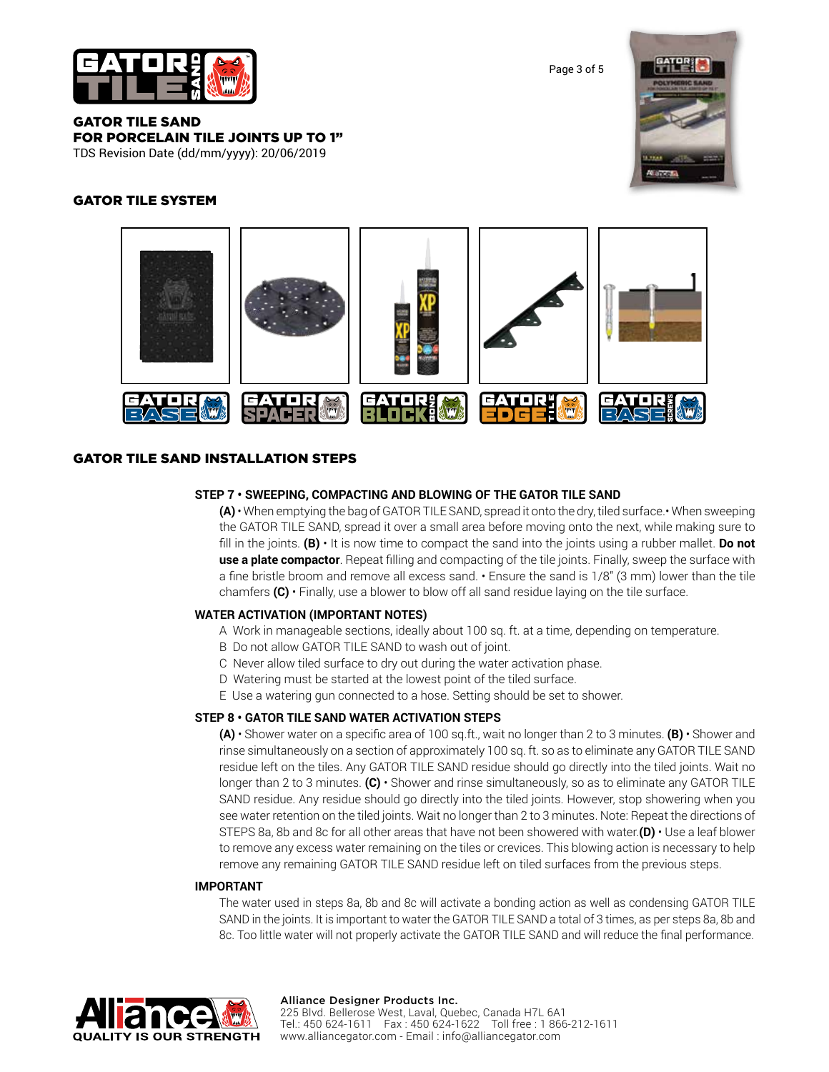

Page 3 of 5

GATOR TILE SAND FOR PORCELAIN TILE JOINTS UP TO 1" TDS Revision Date (dd/mm/yyyy): 20/06/2019

# GATOR TILE SYSTEM





# GATOR TILE SAND INSTALLATION STEPS

## **STEP 7 • SWEEPING, COMPACTING AND BLOWING OF THE GATOR TILE SAND**

**(A)** • When emptying the bag of GATOR TILE SAND, spread it onto the dry, tiled surface.• When sweeping the GATOR TILE SAND, spread it over a small area before moving onto the next, while making sure to fill in the joints. **(B)** • It is now time to compact the sand into the joints using a rubber mallet. **Do not use a plate compactor**. Repeat filling and compacting of the tile joints. Finally, sweep the surface with a fine bristle broom and remove all excess sand. • Ensure the sand is 1/8" (3 mm) lower than the tile chamfers **(C)** • Finally, use a blower to blow off all sand residue laying on the tile surface.

## **WATER ACTIVATION (IMPORTANT NOTES)**

- A Work in manageable sections, ideally about 100 sq. ft. at a time, depending on temperature.
- B Do not allow GATOR TILE SAND to wash out of joint.
- C Never allow tiled surface to dry out during the water activation phase.
- D Watering must be started at the lowest point of the tiled surface.
- E Use a watering gun connected to a hose. Setting should be set to shower.

### **STEP 8 • GATOR TILE SAND WATER ACTIVATION STEPS**

**(A)** • Shower water on a specific area of 100 sq.ft., wait no longer than 2 to 3 minutes. **(B)** • Shower and rinse simultaneously on a section of approximately 100 sq. ft. so as to eliminate any GATOR TILE SAND residue left on the tiles. Any GATOR TILE SAND residue should go directly into the tiled joints. Wait no longer than 2 to 3 minutes. **(C)** • Shower and rinse simultaneously, so as to eliminate any GATOR TILE SAND residue. Any residue should go directly into the tiled joints. However, stop showering when you see water retention on the tiled joints. Wait no longer than 2 to 3 minutes. Note: Repeat the directions of STEPS 8a, 8b and 8c for all other areas that have not been showered with water.**(D)** • Use a leaf blower to remove any excess water remaining on the tiles or crevices. This blowing action is necessary to help remove any remaining GATOR TILE SAND residue left on tiled surfaces from the previous steps.

## **IMPORTANT**

The water used in steps 8a, 8b and 8c will activate a bonding action as well as condensing GATOR TILE SAND in the joints. It is important to water the GATOR TILE SAND a total of 3 times, as per steps 8a, 8b and 8c. Too little water will not properly activate the GATOR TILE SAND and will reduce the final performance.



#### Alliance Designer Products Inc.

225 Blvd. Bellerose West, Laval, Quebec, Canada H7L 6A1 Tel.: 450 624-1611 Fax : 450 624-1622 Toll free : 1 866-212-1611 www.alliancegator.com - Email : info@alliancegator.com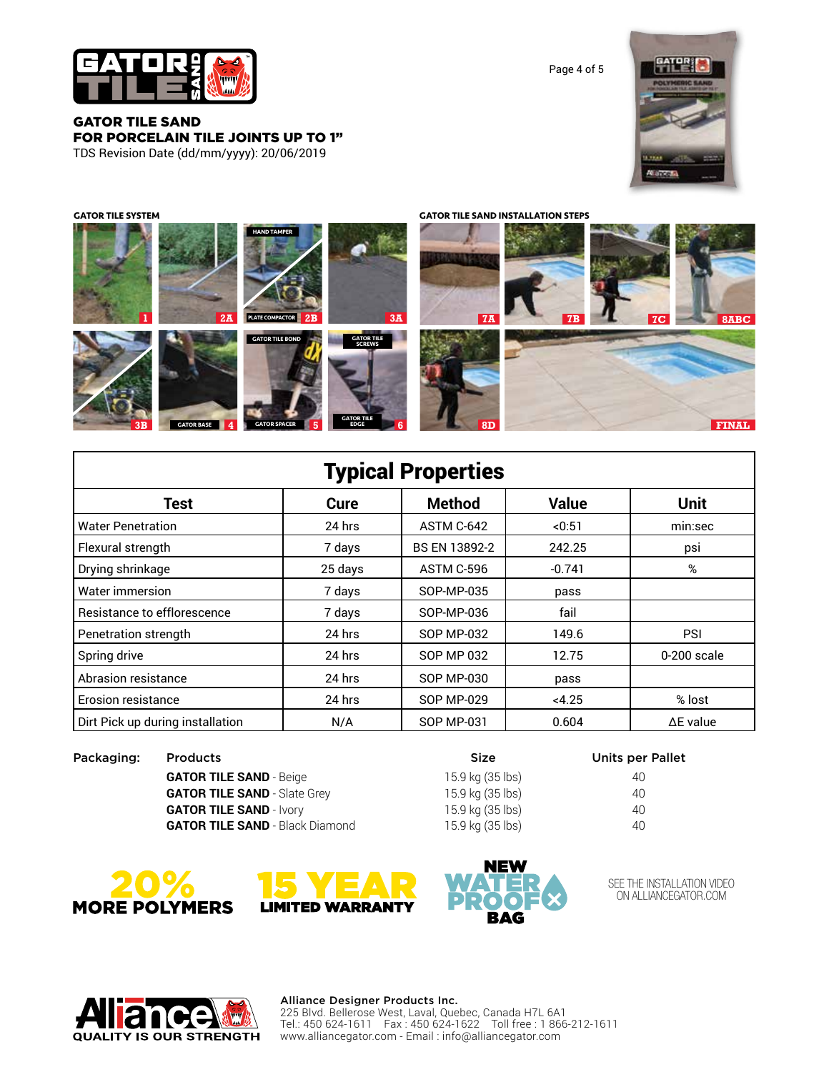

GATOR TILE SAND FOR PORCELAIN TILE JOINTS UP TO 1" TDS Revision Date (dd/mm/yyyy): 20/06/2019

Page 4 of 5



**GATOR TILE HAND TAMPER GATOR BASE GATOR TILE SCREWS GATOR SPACER PLATE COMPACTOR GATOR TILE EDGE 1 4 5 6 2A PLATE COMPACTOR 2B 2B 3A 7A 3B 7B 7C 8ABC 8D FINAL 2B GATOR TILE SYSTEM GATOR TILE SAND INSTALLATION STEPS**

| <b>Typical Properties</b>        |         |                   |              |                  |  |  |  |  |
|----------------------------------|---------|-------------------|--------------|------------------|--|--|--|--|
| Test                             | Cure    | <b>Method</b>     | <b>Value</b> | <b>Unit</b>      |  |  |  |  |
| <b>Water Penetration</b>         | 24 hrs  | ASTM C-642        | < 0:51       | min:sec          |  |  |  |  |
| Flexural strength                | 7 days  | BS EN 13892-2     | 242.25       | psi              |  |  |  |  |
| Drying shrinkage                 | 25 days | ASTM C-596        | $-0.741$     | %                |  |  |  |  |
| Water immersion                  | 7 days  | SOP-MP-035        | pass         |                  |  |  |  |  |
| Resistance to efflorescence      | 7 days  | SOP-MP-036        | fail         |                  |  |  |  |  |
| Penetration strength             | 24 hrs  | <b>SOP MP-032</b> | 149.6        | PSI              |  |  |  |  |
| Spring drive                     | 24 hrs  | SOP MP 032        | 12.75        | 0-200 scale      |  |  |  |  |
| Abrasion resistance              | 24 hrs  | <b>SOP MP-030</b> | pass         |                  |  |  |  |  |
| <b>Erosion resistance</b>        | 24 hrs  | <b>SOP MP-029</b> | <4.25        | % lost           |  |  |  |  |
| Dirt Pick up during installation | N/A     | SOP MP-031        | 0.604        | $\Delta$ E value |  |  |  |  |

Packaging: Products and Packaging: Products and Packaging: Packaging: Packaging: Products and Packaging and Packaging and Packaging and Packaging and Packaging and Packaging and Packaging and Packaging and Packaging and Pa

**GATOR TILE SAND** - Beige 15.9 kg (35 lbs) 40 **GATOR TILE SAND** - Slate Grey 15.9 kg (35 lbs) 40 **GATOR TILE SAND** - Ivory 15.9 kg (35 lbs) 40 **GATOR TILE SAND** - Black Diamond 15.9 kg (35 lbs) 40





SEE THE INSTALLATION VIDEO ON ALLIANCEGATOR.COM



## Alliance Designer Products Inc.

225 Blvd. Bellerose West, Laval, Quebec, Canada H7L 6A1 Tel.: 450 624-1611 Fax : 450 624-1622 Toll free : 1 866-212-1611 www.alliancegator.com - Email : info@alliancegator.com